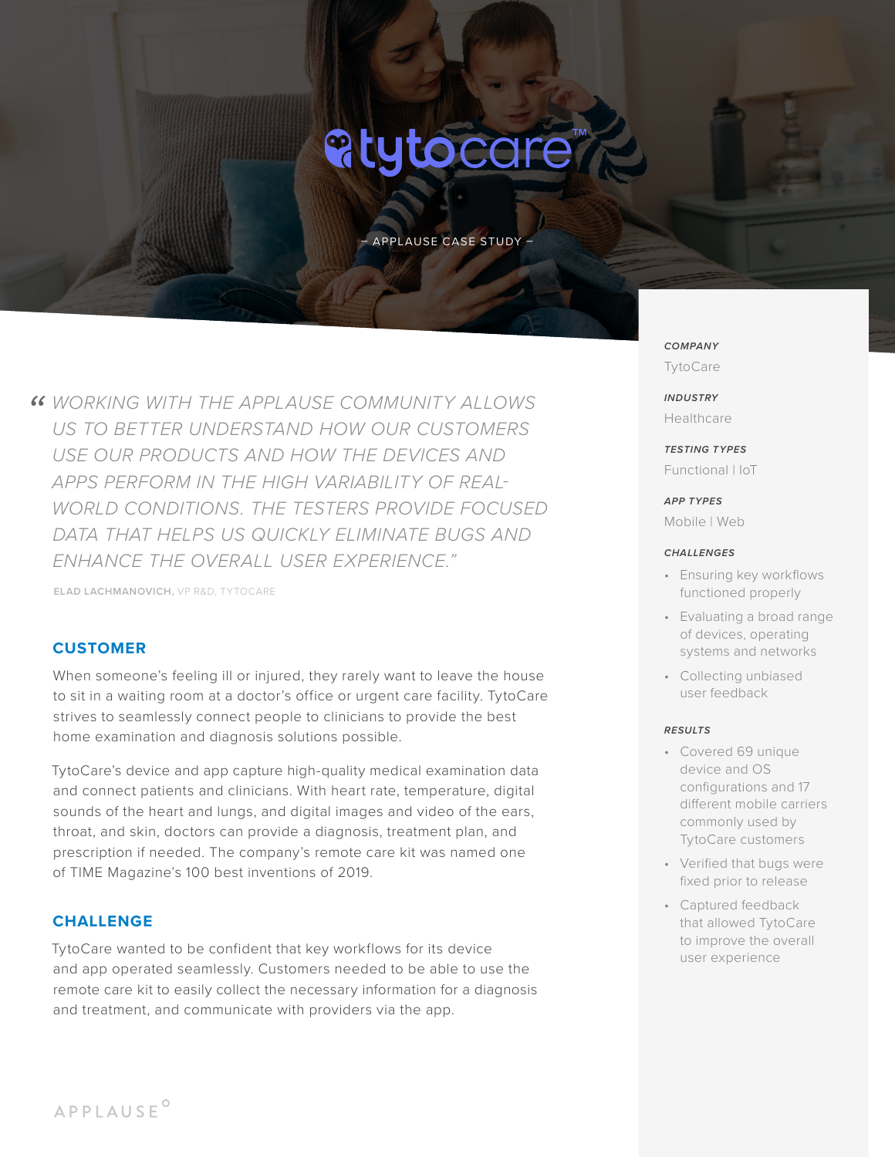# **atytocare**

– APPLAUSE CASE STUDY –

**46 WORKING WITH THE APPLAUSE COMMUNITY ALLOWS<br>US TO BETTER UNDERSTAND HOW OUR CUSTOMERS** *US TO BETTER UNDERSTAND HOW OUR CUSTOMERS USE OUR PRODUCTS AND HOW THE DEVICES AND APPS PERFORM IN THE HIGH VARIABILITY OF REAL-WORLD CONDITIONS. THE TESTERS PROVIDE FOCUSED DATA THAT HELPS US QUICKLY ELIMINATE BUGS AND ENHANCE THE OVERALL USER EXPERIENCE."*

**ELAD LACHMANOVICH,** VP R&D, TYTOCARE

## **CUSTOMER**

When someone's feeling ill or injured, they rarely want to leave the house to sit in a waiting room at a doctor's office or urgent care facility. TytoCare strives to seamlessly connect people to clinicians to provide the best home examination and diagnosis solutions possible.

TytoCare's device and app capture high-quality medical examination data and connect patients and clinicians. With heart rate, temperature, digital sounds of the heart and lungs, and digital images and video of the ears, throat, and skin, doctors can provide a diagnosis, treatment plan, and prescription if needed. The company's remote care kit was named one of TIME Magazine's 100 best inventions of 2019.

### **CHALLENGE**

TytoCare wanted to be confident that key workflows for its device and app operated seamlessly. Customers needed to be able to use the remote care kit to easily collect the necessary information for a diagnosis and treatment, and communicate with providers via the app.

## *COMPANY* TytoCare

*INDUSTRY* Healthcare

*TESTING TYPES* Functional | IoT

*APP TYPES* Mobile | Web

#### *CHALLENGES*

- Ensuring key workflows functioned properly
- Evaluating a broad range of devices, operating systems and networks
- Collecting unbiased user feedback

#### *RESULTS*

- Covered 69 unique device and OS configurations and 17 different mobile carriers commonly used by TytoCare customers
- Verified that bugs were fixed prior to release
- Captured feedback that allowed TytoCare to improve the overall user experience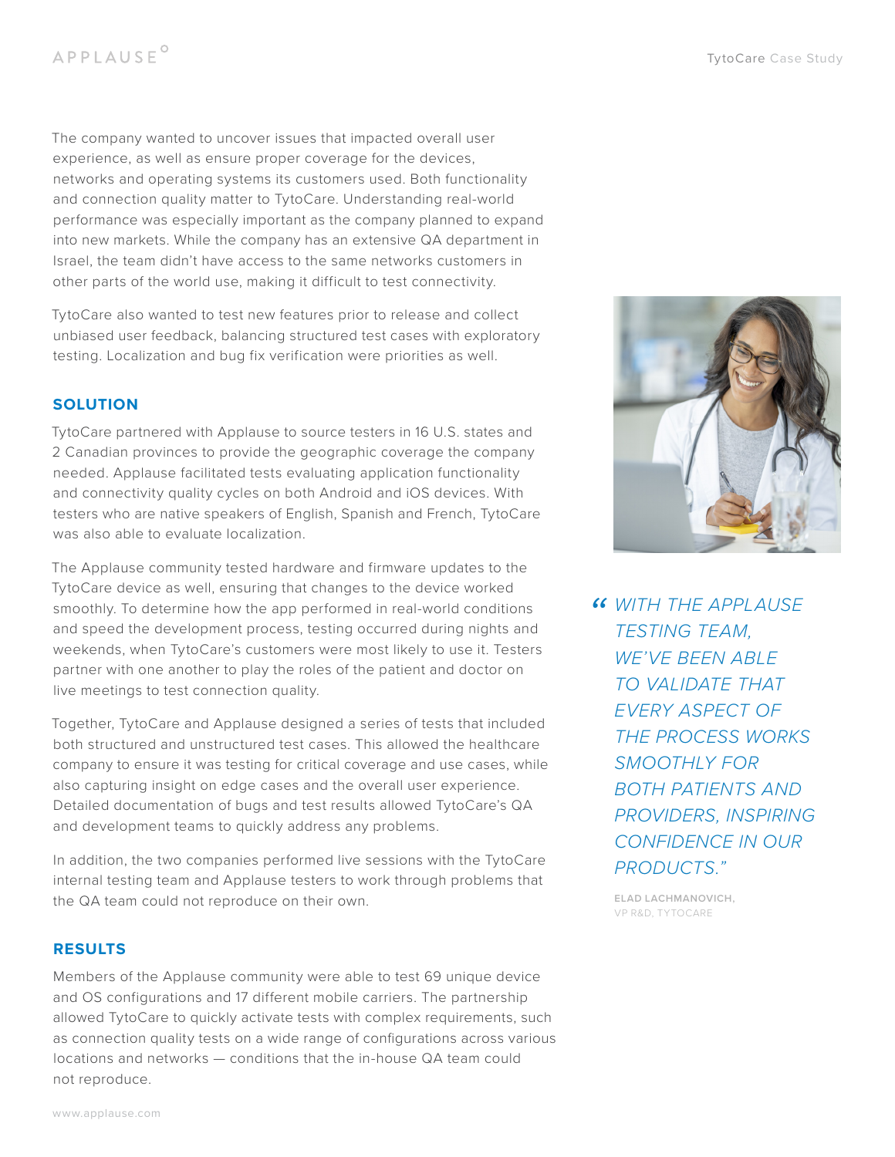The company wanted to uncover issues that impacted overall user experience, as well as ensure proper coverage for the devices, networks and operating systems its customers used. Both functionality and connection quality matter to TytoCare. Understanding real-world performance was especially important as the company planned to expand into new markets. While the company has an extensive QA department in Israel, the team didn't have access to the same networks customers in other parts of the world use, making it difficult to test connectivity.

TytoCare also wanted to test new features prior to release and collect unbiased user feedback, balancing structured test cases with exploratory testing. Localization and bug fix verification were priorities as well.

## **SOLUTION**

TytoCare partnered with Applause to source testers in 16 U.S. states and 2 Canadian provinces to provide the geographic coverage the company needed. Applause facilitated tests evaluating application functionality and connectivity quality cycles on both Android and iOS devices. With testers who are native speakers of English, Spanish and French, TytoCare was also able to evaluate localization.

The Applause community tested hardware and firmware updates to the TytoCare device as well, ensuring that changes to the device worked smoothly. To determine how the app performed in real-world conditions and speed the development process, testing occurred during nights and weekends, when TytoCare's customers were most likely to use it. Testers partner with one another to play the roles of the patient and doctor on live meetings to test connection quality.

Together, TytoCare and Applause designed a series of tests that included both structured and unstructured test cases. This allowed the healthcare company to ensure it was testing for critical coverage and use cases, while also capturing insight on edge cases and the overall user experience. Detailed documentation of bugs and test results allowed TytoCare's QA and development teams to quickly address any problems.

In addition, the two companies performed live sessions with the TytoCare internal testing team and Applause testers to work through problems that the QA team could not reproduce on their own.

## **RESULTS**

Members of the Applause community were able to test 69 unique device and OS configurations and 17 different mobile carriers. The partnership allowed TytoCare to quickly activate tests with complex requirements, such as connection quality tests on a wide range of configurations across various locations and networks — conditions that the in-house QA team could not reproduce.



*" WITH THE APPLAUSE TESTING TEAM, WE'VE BEEN ABLE TO VALIDATE THAT EVERY ASPECT OF THE PROCESS WORKS SMOOTHLY FOR BOTH PATIENTS AND PROVIDERS, INSPIRING CONFIDENCE IN OUR PRODUCTS."*

**ELAD LACHMANOVICH,**  VP R&D, TYTOCARE